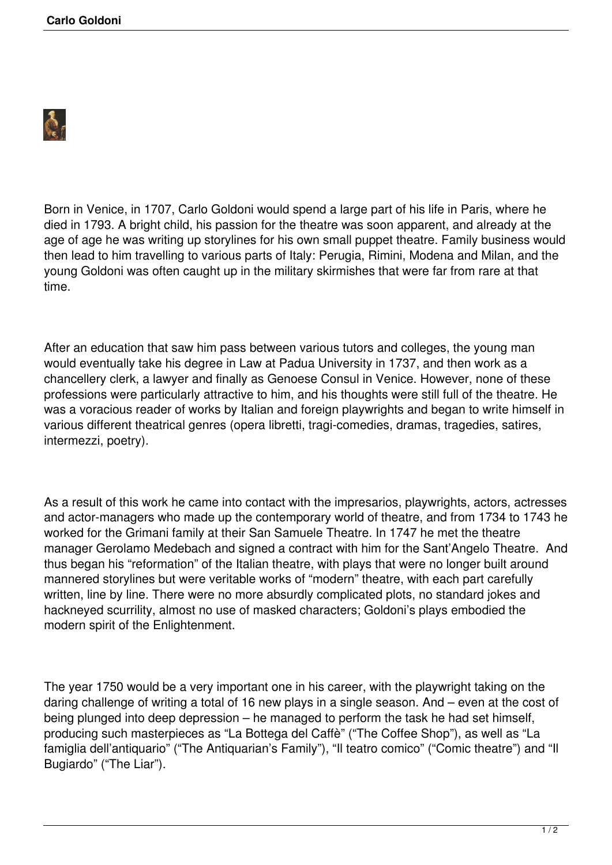

Born in Venice, in 1707, Carlo Goldoni would spend a large part of his life in Paris, where he died in 1793. A bright child, his passion for the theatre was soon apparent, and already at the age of age he was writing up storylines for his own small puppet theatre. Family business would then lead to him travelling to various parts of Italy: Perugia, Rimini, Modena and Milan, and the young Goldoni was often caught up in the military skirmishes that were far from rare at that time.

After an education that saw him pass between various tutors and colleges, the young man would eventually take his degree in Law at Padua University in 1737, and then work as a chancellery clerk, a lawyer and finally as Genoese Consul in Venice. However, none of these professions were particularly attractive to him, and his thoughts were still full of the theatre. He was a voracious reader of works by Italian and foreign playwrights and began to write himself in various different theatrical genres (opera libretti, tragi-comedies, dramas, tragedies, satires, intermezzi, poetry).

As a result of this work he came into contact with the impresarios, playwrights, actors, actresses and actor-managers who made up the contemporary world of theatre, and from 1734 to 1743 he worked for the Grimani family at their San Samuele Theatre. In 1747 he met the theatre manager Gerolamo Medebach and signed a contract with him for the Sant'Angelo Theatre. And thus began his "reformation" of the Italian theatre, with plays that were no longer built around mannered storylines but were veritable works of "modern" theatre, with each part carefully written, line by line. There were no more absurdly complicated plots, no standard jokes and hackneyed scurrility, almost no use of masked characters; Goldoni's plays embodied the modern spirit of the Enlightenment.

The year 1750 would be a very important one in his career, with the playwright taking on the daring challenge of writing a total of 16 new plays in a single season. And – even at the cost of being plunged into deep depression – he managed to perform the task he had set himself, producing such masterpieces as "La Bottega del Caffè" ("The Coffee Shop"), as well as "La famiglia dell'antiquario" ("The Antiquarian's Family"), "Il teatro comico" ("Comic theatre") and "Il Bugiardo" ("The Liar").